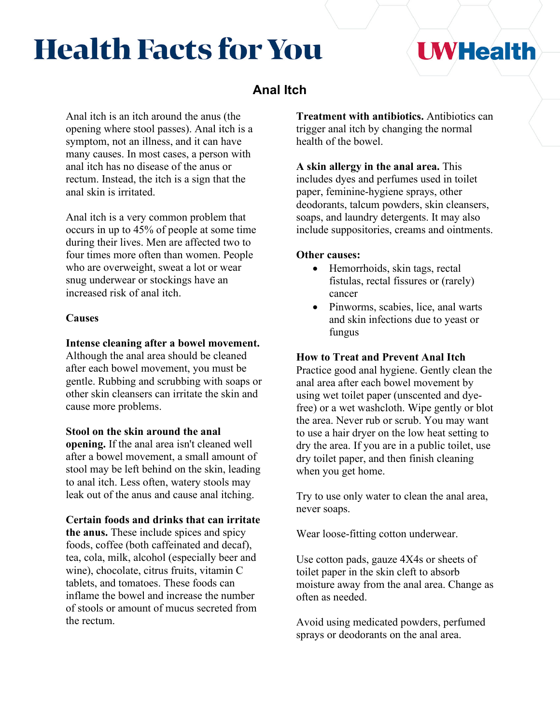# **Health Facts for You**

## **I WHealth**

### **Anal Itch**

Anal itch is an itch around the anus (the opening where stool passes). Anal itch is a symptom, not an illness, and it can have many causes. In most cases, a person with anal itch has no disease of the anus or rectum. Instead, the itch is a sign that the anal skin is irritated.

Anal itch is a very common problem that occurs in up to 45% of people at some time during their lives. Men are affected two to four times more often than women. People who are overweight, sweat a lot or wear snug underwear or stockings have an increased risk of anal itch.

#### **Causes**

#### **Intense cleaning after a bowel movement.**

Although the anal area should be cleaned after each bowel movement, you must be gentle. Rubbing and scrubbing with soaps or other skin cleansers can irritate the skin and cause more problems.

#### **Stool on the skin around the anal**

**opening.** If the anal area isn't cleaned well after a bowel movement, a small amount of stool may be left behind on the skin, leading to anal itch. Less often, watery stools may leak out of the anus and cause anal itching.

#### **Certain foods and drinks that can irritate**

**the anus.** These include spices and spicy foods, coffee (both caffeinated and decaf), tea, cola, milk, alcohol (especially beer and wine), chocolate, citrus fruits, vitamin C tablets, and tomatoes. These foods can inflame the bowel and increase the number of stools or amount of mucus secreted from the rectum.

**Treatment with antibiotics.** Antibiotics can trigger anal itch by changing the normal health of the bowel.

**A skin allergy in the anal area.** This includes dyes and perfumes used in toilet paper, feminine-hygiene sprays, other deodorants, talcum powders, skin cleansers, soaps, and laundry detergents. It may also include suppositories, creams and ointments.

#### **Other causes:**

- Hemorrhoids, skin tags, rectal fistulas, rectal fissures or (rarely) cancer
- Pinworms, scabies, lice, anal warts and skin infections due to yeast or fungus

#### **How to Treat and Prevent Anal Itch**

Practice good anal hygiene. Gently clean the anal area after each bowel movement by using wet toilet paper (unscented and dyefree) or a wet washcloth. Wipe gently or blot the area. Never rub or scrub. You may want to use a hair dryer on the low heat setting to dry the area. If you are in a public toilet, use dry toilet paper, and then finish cleaning when you get home.

Try to use only water to clean the anal area, never soaps.

Wear loose-fitting cotton underwear.

Use cotton pads, gauze 4X4s or sheets of toilet paper in the skin cleft to absorb moisture away from the anal area. Change as often as needed.

Avoid using medicated powders, perfumed sprays or deodorants on the anal area.